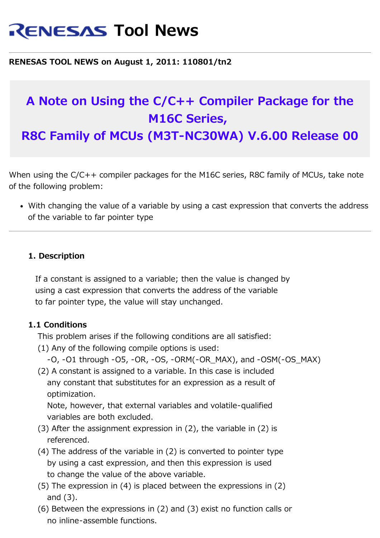# **RENESAS Tool News**

**RENESAS TOOL NEWS on August 1, 2011: 110801/tn2**

# **A Note on Using the C/C++ Compiler Package for the M16C Series,**

**R8C Family of MCUs (M3T-NC30WA) V.6.00 Release 00**

When using the C/C++ compiler packages for the M16C series, R8C family of MCUs, take note of the following problem:

With changing the value of a variable by using a cast expression that converts the address of the variable to far pointer type

#### **1. Description**

 If a constant is assigned to a variable; then the value is changed by using a cast expression that converts the address of the variable to far pointer type, the value will stay unchanged.

#### **1.1 Conditions**

This problem arises if the following conditions are all satisfied:

(1) Any of the following compile options is used:

```
 -O, -O1 through -O5, -OR, -OS, -ORM(-OR_MAX), and -OSM(-OS_MAX)
```
 (2) A constant is assigned to a variable. In this case is included any constant that substitutes for an expression as a result of optimization.

 Note, however, that external variables and volatile-qualified variables are both excluded.

- (3) After the assignment expression in (2), the variable in (2) is referenced.
- (4) The address of the variable in (2) is converted to pointer type by using a cast expression, and then this expression is used to change the value of the above variable.
- (5) The expression in (4) is placed between the expressions in (2) and (3).
- (6) Between the expressions in (2) and (3) exist no function calls or no inline-assemble functions.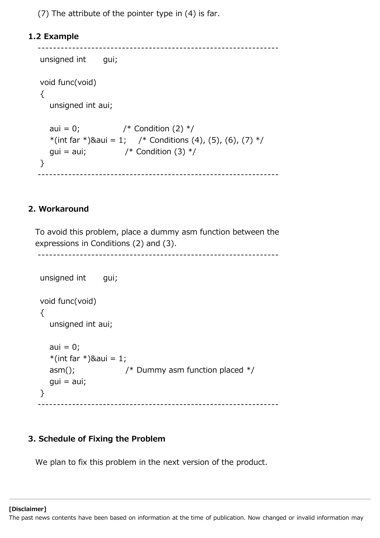(7) The attribute of the pointer type in (4) is far.

# **1.2 Example**

```
 ---------------------------------------------------------------
unsigned int gui;
 void func(void)
 {
   unsigned int aui;
  aui = 0; /* Condition (2) */*(int far *)&aui = 1; /* Conditions (4), (5), (6), (7) */
  gui = aui; / Condition (3) */ }
   ---------------------------------------------------------------
```
### **2. Workaround**

 To avoid this problem, place a dummy asm function between the expressions in Conditions (2) and (3).

---------------------------------------------------------------

```
unsigned int gui;
 void func(void)
\{ unsigned int aui;
  aui = 0;*(int far *)&aui = 1;
  asm(); \frac{1}{2} /* Dummy asm function placed \frac{1}{2}gui = aui; }
    ---------------------------------------------------------------
```
## **3. Schedule of Fixing the Problem**

We plan to fix this problem in the next version of the product.

The past news contents have been based on information at the time of publication. Now changed or invalid information may